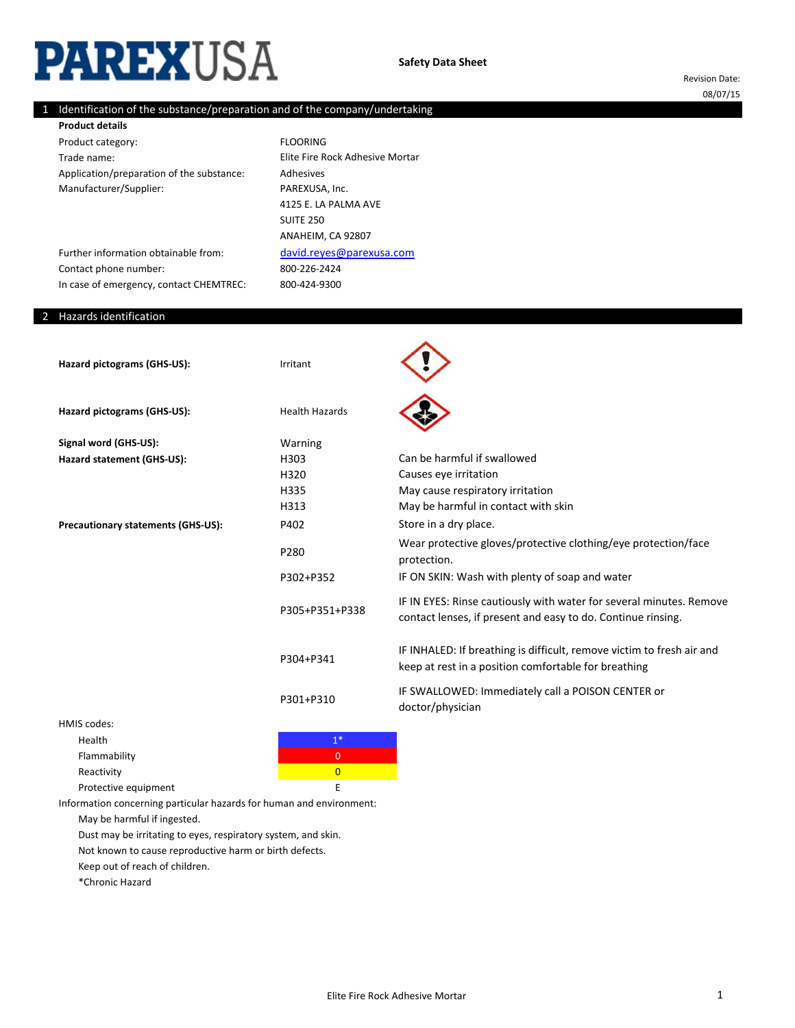# **PAREXUSA**

Revision Date: 08/07/15

#### 1 Identification of the substance/preparation and of the company/undertaking

Product category: Trade name: Application/preparation of the substance: Manufacturer/Supplier: **Product details**

800-226-2424 FLOORING Adhesives PAREXUSA, Inc. [david.reyes@parexusa.c](mailto:david.reyes@parexusa.com)om 4125 E. LA PALMA AVE SUITE 250 Elite Fire Rock Adhesive Mortar ANAHEIM, CA 92807

800-424-9300

Further information obtainable from: Contact phone number: In case of emergency, contact CHEMTREC:

## 2 Hazards identification

| Hazard pictograms (GHS-US):        | Irritant              |                                                                                                                                     |
|------------------------------------|-----------------------|-------------------------------------------------------------------------------------------------------------------------------------|
| Hazard pictograms (GHS-US):        | <b>Health Hazards</b> |                                                                                                                                     |
| Signal word (GHS-US):              | Warning               |                                                                                                                                     |
| Hazard statement (GHS-US):         | H303                  | Can be harmful if swallowed                                                                                                         |
|                                    | H320                  | Causes eye irritation                                                                                                               |
|                                    | H335                  | May cause respiratory irritation                                                                                                    |
|                                    | H313                  | May be harmful in contact with skin                                                                                                 |
| Precautionary statements (GHS-US): | P402                  | Store in a dry place.                                                                                                               |
|                                    | P280                  | Wear protective gloves/protective clothing/eye protection/face<br>protection.                                                       |
|                                    | P302+P352             | IF ON SKIN: Wash with plenty of soap and water                                                                                      |
|                                    | P305+P351+P338        | IF IN EYES: Rinse cautiously with water for several minutes. Remove<br>contact lenses, if present and easy to do. Continue rinsing. |
|                                    | P304+P341             | IF INHALED: If breathing is difficult, remove victim to fresh air and<br>keep at rest in a position comfortable for breathing       |
|                                    | P301+P310             | IF SWALLOWED: Immediately call a POISON CENTER or<br>doctor/physician                                                               |
| <b>HMIS codes:</b>                 |                       |                                                                                                                                     |
| Health                             | $1^*$                 |                                                                                                                                     |
| Flammability                       | $\overline{0}$        |                                                                                                                                     |
| Reactivity                         | $\overline{0}$        |                                                                                                                                     |

Protective equipment E Information concerning particular hazards for human and environment:

May be harmful if ingested.

Dust may be irritating to eyes, respiratory system, and skin.

Not known to cause reproductive harm or birth defects.

Keep out of reach of children.

\*Chronic Hazard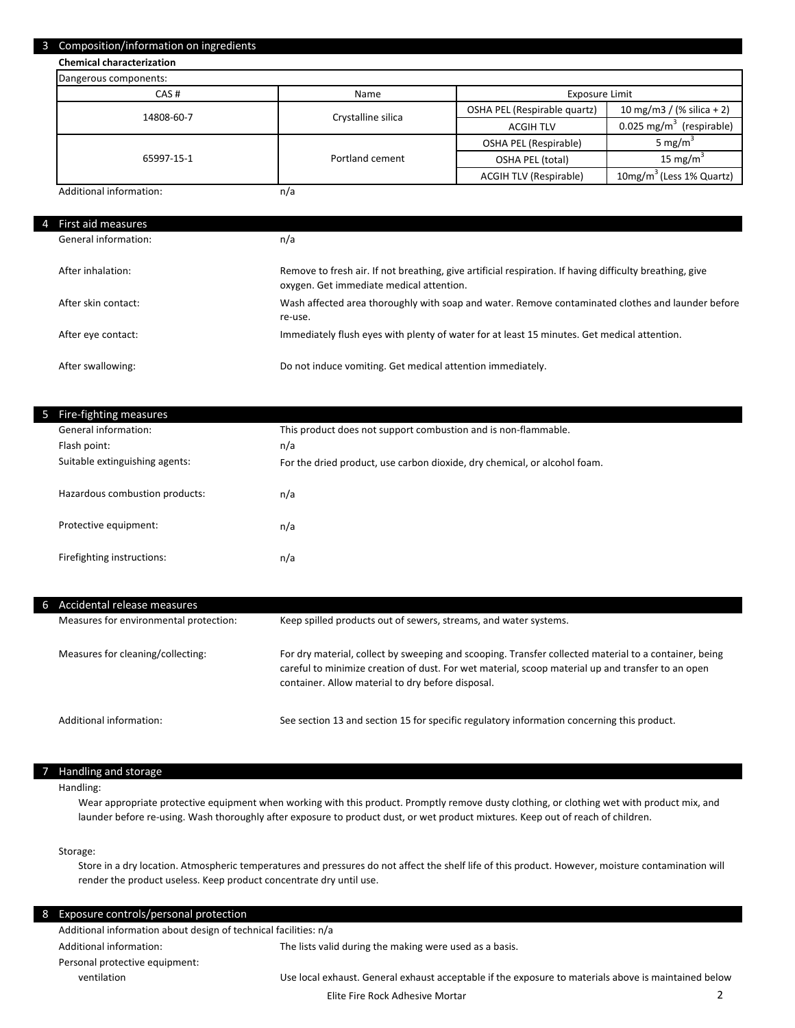#### 3 Composition/information on ingredients

**Chemical characterization**

| Dangerous components:   |                    |                               |                                        |
|-------------------------|--------------------|-------------------------------|----------------------------------------|
| CAS#                    | Name               | Exposure Limit                |                                        |
| 14808-60-7              | Crystalline silica | OSHA PEL (Respirable quartz)  | 10 mg/m3 / (% silica + 2)              |
|                         |                    | <b>ACGIH TLV</b>              | $0.025 \text{ mg/m}^3$<br>(respirable) |
|                         | Portland cement    | OSHA PEL (Respirable)         | 5 mg/ $m2$                             |
| 65997-15-1              |                    | OSHA PEL (total)              | 15 mg/m <sup>3</sup>                   |
|                         |                    | <b>ACGIH TLV (Respirable)</b> | 10mg/m <sup>3</sup> (Less 1% Quartz)   |
| Additional information: | n/a                |                               |                                        |

| First aid measures   |                                                                                                                                                      |
|----------------------|------------------------------------------------------------------------------------------------------------------------------------------------------|
| General information: | n/a                                                                                                                                                  |
| After inhalation:    | Remove to fresh air. If not breathing, give artificial respiration. If having difficulty breathing, give<br>oxygen. Get immediate medical attention. |
| After skin contact:  | Wash affected area thoroughly with soap and water. Remove contaminated clothes and launder before<br>re-use.                                         |
| After eye contact:   | Immediately flush eyes with plenty of water for at least 15 minutes. Get medical attention.                                                          |
| After swallowing:    | Do not induce vomiting. Get medical attention immediately.                                                                                           |

| 5 Fire-fighting measures       |                                                                           |
|--------------------------------|---------------------------------------------------------------------------|
| General information:           | This product does not support combustion and is non-flammable.            |
| Flash point:                   | n/a                                                                       |
| Suitable extinguishing agents: | For the dried product, use carbon dioxide, dry chemical, or alcohol foam. |
|                                |                                                                           |
| Hazardous combustion products: | n/a                                                                       |
|                                |                                                                           |
| Protective equipment:          | n/a                                                                       |
| Firefighting instructions:     |                                                                           |
|                                | n/a                                                                       |

| 6 Accidental release measures          |                                                                                                                                                                                                                                                                 |
|----------------------------------------|-----------------------------------------------------------------------------------------------------------------------------------------------------------------------------------------------------------------------------------------------------------------|
| Measures for environmental protection: | Keep spilled products out of sewers, streams, and water systems.                                                                                                                                                                                                |
| Measures for cleaning/collecting:      | For dry material, collect by sweeping and scooping. Transfer collected material to a container, being<br>careful to minimize creation of dust. For wet material, scoop material up and transfer to an open<br>container. Allow material to dry before disposal. |
| Additional information:                | See section 13 and section 15 for specific regulatory information concerning this product.                                                                                                                                                                      |

#### 7 Handling and storage

Handling:

Wear appropriate protective equipment when working with this product. Promptly remove dusty clothing, or clothing wet with product mix, and launder before re-using. Wash thoroughly after exposure to product dust, or wet product mixtures. Keep out of reach of children.

#### Storage:

Store in a dry location. Atmospheric temperatures and pressures do not affect the shelf life of this product. However, moisture contamination will render the product useless. Keep product concentrate dry until use.

| 8 | <b>Exposure controls/personal protection</b>                     |                                                                                                      |
|---|------------------------------------------------------------------|------------------------------------------------------------------------------------------------------|
|   | Additional information about design of technical facilities: n/a |                                                                                                      |
|   | Additional information:                                          | The lists valid during the making were used as a basis.                                              |
|   | Personal protective equipment:                                   |                                                                                                      |
|   | ventilation                                                      | Use local exhaust. General exhaust acceptable if the exposure to materials above is maintained below |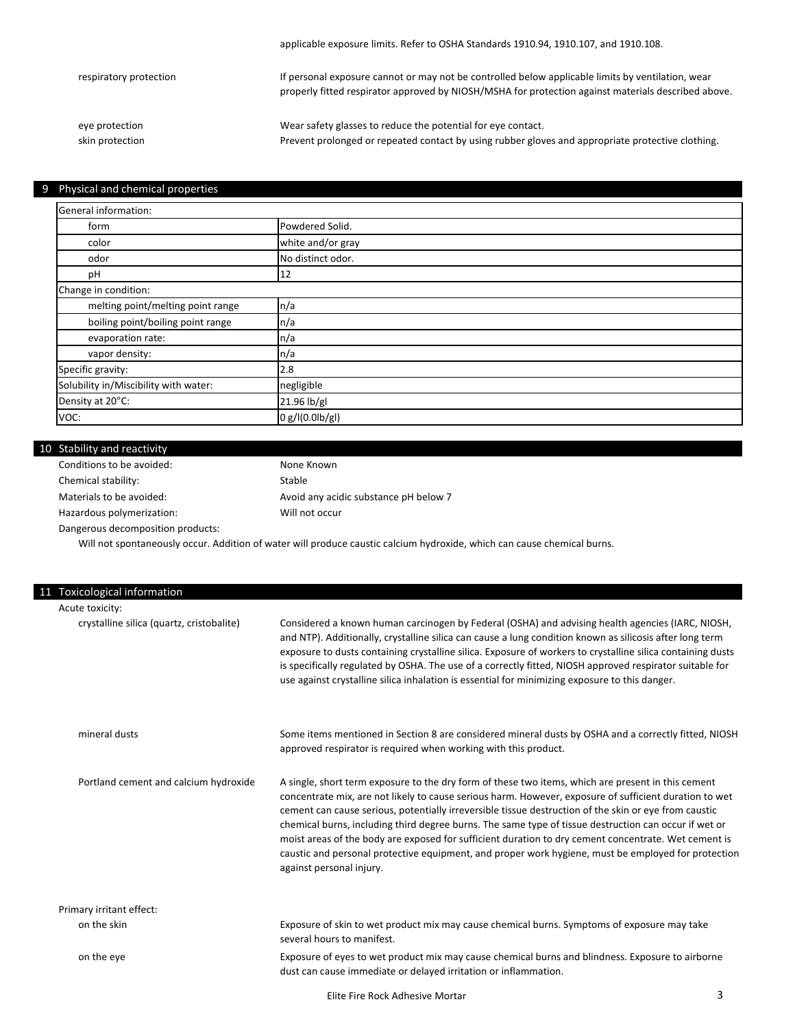| respiratory protection | If personal exposure cannot or may not be controlled below applicable limits by ventilation, wear<br>properly fitted respirator approved by NIOSH/MSHA for protection against materials described above. |
|------------------------|----------------------------------------------------------------------------------------------------------------------------------------------------------------------------------------------------------|
| eye protection         | Wear safety glasses to reduce the potential for eye contact.                                                                                                                                             |
| skin protection        | Prevent prolonged or repeated contact by using rubber gloves and appropriate protective clothing.                                                                                                        |

applicable exposure limits. Refer to OSHA Standards 1910.94, 1910.107, and 1910.108.

#### 9 Physical and chemical properties

| General information:                  |                   |  |
|---------------------------------------|-------------------|--|
| form                                  | Powdered Solid.   |  |
| color                                 | white and/or gray |  |
| odor                                  | No distinct odor. |  |
| pH                                    | 12                |  |
| Change in condition:                  |                   |  |
| melting point/melting point range     | n/a               |  |
| boiling point/boiling point range     | n/a               |  |
| evaporation rate:                     | n/a               |  |
| vapor density:                        | n/a               |  |
| Specific gravity:                     | 2.8               |  |
| Solubility in/Miscibility with water: | negligible        |  |
| Density at 20°C:                      | 21.96 lb/gl       |  |
| VOC:                                  | 0 g/l(0.0lb/gl)   |  |

#### 10 Stability and reactivity

Conditions to be avoided: Chemical stability: Materials to be avoided:

Hazardous polymerization:

Will not occur Avoid any acidic substance pH below 7 Stable None Known

Dangerous decomposition products:

Will not spontaneously occur. Addition of water will produce caustic calcium hydroxide, which can cause chemical burns.

| 11 | Toxicological information                 |                                                                                                                                                                                                                                                                                                                                                                                                                                                                                                                                                                                                                                                                           |
|----|-------------------------------------------|---------------------------------------------------------------------------------------------------------------------------------------------------------------------------------------------------------------------------------------------------------------------------------------------------------------------------------------------------------------------------------------------------------------------------------------------------------------------------------------------------------------------------------------------------------------------------------------------------------------------------------------------------------------------------|
|    | Acute toxicity:                           |                                                                                                                                                                                                                                                                                                                                                                                                                                                                                                                                                                                                                                                                           |
|    | crystalline silica (quartz, cristobalite) | Considered a known human carcinogen by Federal (OSHA) and advising health agencies (IARC, NIOSH,<br>and NTP). Additionally, crystalline silica can cause a lung condition known as silicosis after long term<br>exposure to dusts containing crystalline silica. Exposure of workers to crystalline silica containing dusts<br>is specifically regulated by OSHA. The use of a correctly fitted, NIOSH approved respirator suitable for<br>use against crystalline silica inhalation is essential for minimizing exposure to this danger.                                                                                                                                 |
|    | mineral dusts                             | Some items mentioned in Section 8 are considered mineral dusts by OSHA and a correctly fitted, NIOSH<br>approved respirator is required when working with this product.                                                                                                                                                                                                                                                                                                                                                                                                                                                                                                   |
|    | Portland cement and calcium hydroxide     | A single, short term exposure to the dry form of these two items, which are present in this cement<br>concentrate mix, are not likely to cause serious harm. However, exposure of sufficient duration to wet<br>cement can cause serious, potentially irreversible tissue destruction of the skin or eye from caustic<br>chemical burns, including third degree burns. The same type of tissue destruction can occur if wet or<br>moist areas of the body are exposed for sufficient duration to dry cement concentrate. Wet cement is<br>caustic and personal protective equipment, and proper work hygiene, must be employed for protection<br>against personal injury. |
|    | Primary irritant effect:                  |                                                                                                                                                                                                                                                                                                                                                                                                                                                                                                                                                                                                                                                                           |
|    | on the skin                               | Exposure of skin to wet product mix may cause chemical burns. Symptoms of exposure may take<br>several hours to manifest.                                                                                                                                                                                                                                                                                                                                                                                                                                                                                                                                                 |
|    | on the eye                                | Exposure of eyes to wet product mix may cause chemical burns and blindness. Exposure to airborne<br>dust can cause immediate or delayed irritation or inflammation.                                                                                                                                                                                                                                                                                                                                                                                                                                                                                                       |
|    |                                           |                                                                                                                                                                                                                                                                                                                                                                                                                                                                                                                                                                                                                                                                           |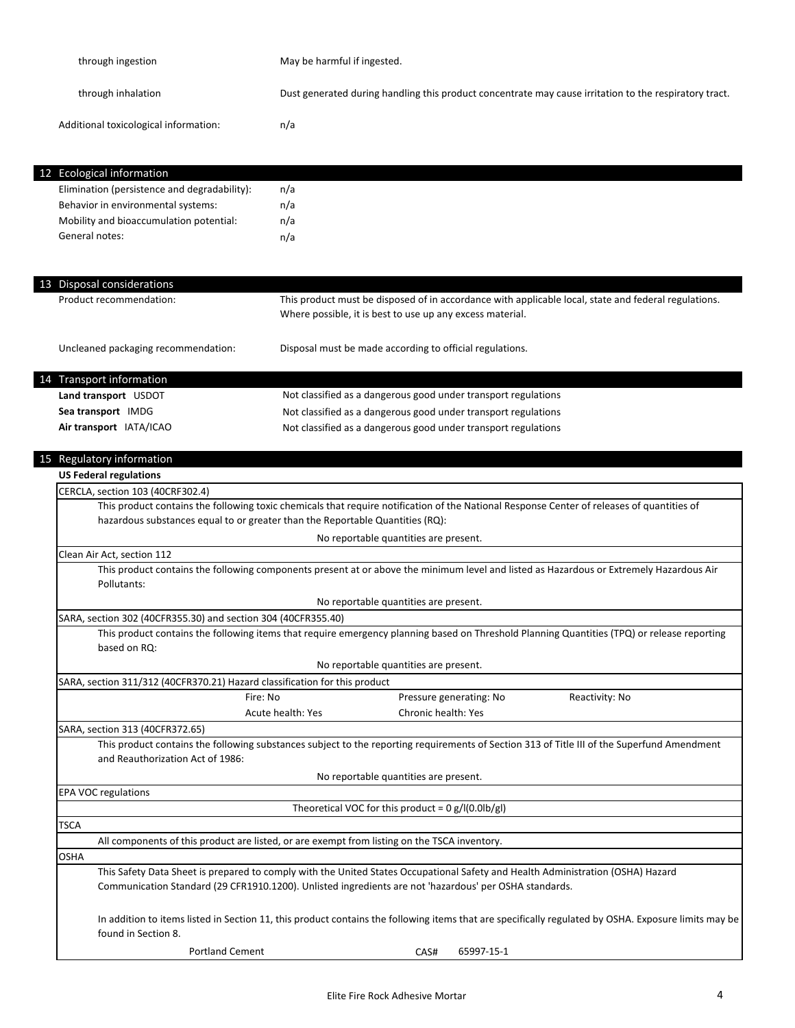| through ingestion                                                          | May be harmful if ingested.                                                                                                                                                                                                               |  |
|----------------------------------------------------------------------------|-------------------------------------------------------------------------------------------------------------------------------------------------------------------------------------------------------------------------------------------|--|
| through inhalation                                                         | Dust generated during handling this product concentrate may cause irritation to the respiratory tract.                                                                                                                                    |  |
| Additional toxicological information:                                      | n/a                                                                                                                                                                                                                                       |  |
| <b>Ecological information</b><br>12                                        |                                                                                                                                                                                                                                           |  |
| Elimination (persistence and degradability):                               | n/a                                                                                                                                                                                                                                       |  |
| Behavior in environmental systems:                                         | n/a                                                                                                                                                                                                                                       |  |
| Mobility and bioaccumulation potential:                                    | n/a                                                                                                                                                                                                                                       |  |
| General notes:                                                             | n/a                                                                                                                                                                                                                                       |  |
| 13 Disposal considerations                                                 |                                                                                                                                                                                                                                           |  |
| Product recommendation:                                                    | This product must be disposed of in accordance with applicable local, state and federal regulations.<br>Where possible, it is best to use up any excess material.                                                                         |  |
| Uncleaned packaging recommendation:                                        | Disposal must be made according to official regulations.                                                                                                                                                                                  |  |
| <b>Transport information</b>                                               |                                                                                                                                                                                                                                           |  |
| Land transport USDOT                                                       | Not classified as a dangerous good under transport regulations                                                                                                                                                                            |  |
| Sea transport IMDG                                                         | Not classified as a dangerous good under transport regulations                                                                                                                                                                            |  |
| Air transport IATA/ICAO                                                    | Not classified as a dangerous good under transport regulations                                                                                                                                                                            |  |
|                                                                            |                                                                                                                                                                                                                                           |  |
| Regulatory information                                                     |                                                                                                                                                                                                                                           |  |
| <b>US Federal regulations</b>                                              |                                                                                                                                                                                                                                           |  |
| CERCLA, section 103 (40CRF302.4)                                           |                                                                                                                                                                                                                                           |  |
|                                                                            | This product contains the following toxic chemicals that require notification of the National Response Center of releases of quantities of                                                                                                |  |
|                                                                            | hazardous substances equal to or greater than the Reportable Quantities (RQ):                                                                                                                                                             |  |
|                                                                            | No reportable quantities are present.                                                                                                                                                                                                     |  |
| Clean Air Act, section 112                                                 |                                                                                                                                                                                                                                           |  |
| Pollutants:                                                                | This product contains the following components present at or above the minimum level and listed as Hazardous or Extremely Hazardous Air                                                                                                   |  |
|                                                                            | No reportable quantities are present.                                                                                                                                                                                                     |  |
| SARA, section 302 (40CFR355.30) and section 304 (40CFR355.40)              |                                                                                                                                                                                                                                           |  |
| based on RQ:                                                               | This product contains the following items that require emergency planning based on Threshold Planning Quantities (TPQ) or release reporting                                                                                               |  |
|                                                                            | No reportable quantities are present.                                                                                                                                                                                                     |  |
| SARA, section 311/312 (40CFR370.21) Hazard classification for this product |                                                                                                                                                                                                                                           |  |
| Fire: No                                                                   | Pressure generating: No<br>Reactivity: No                                                                                                                                                                                                 |  |
|                                                                            | Acute health: Yes<br>Chronic health: Yes                                                                                                                                                                                                  |  |
| SARA, section 313 (40CFR372.65)                                            |                                                                                                                                                                                                                                           |  |
| and Reauthorization Act of 1986:                                           | This product contains the following substances subject to the reporting requirements of Section 313 of Title III of the Superfund Amendment                                                                                               |  |
|                                                                            | No reportable quantities are present.                                                                                                                                                                                                     |  |
| <b>EPA VOC regulations</b>                                                 |                                                                                                                                                                                                                                           |  |
|                                                                            | Theoretical VOC for this product = $0 g/(0.01b/g)$                                                                                                                                                                                        |  |
| <b>TSCA</b>                                                                |                                                                                                                                                                                                                                           |  |
|                                                                            | All components of this product are listed, or are exempt from listing on the TSCA inventory.                                                                                                                                              |  |
| OSHA                                                                       |                                                                                                                                                                                                                                           |  |
|                                                                            | This Safety Data Sheet is prepared to comply with the United States Occupational Safety and Health Administration (OSHA) Hazard<br>Communication Standard (29 CFR1910.1200). Unlisted ingredients are not 'hazardous' per OSHA standards. |  |
| found in Section 8.                                                        | In addition to items listed in Section 11, this product contains the following items that are specifically regulated by OSHA. Exposure limits may be                                                                                      |  |
| <b>Portland Cement</b>                                                     | CAS#<br>65997-15-1                                                                                                                                                                                                                        |  |
|                                                                            |                                                                                                                                                                                                                                           |  |